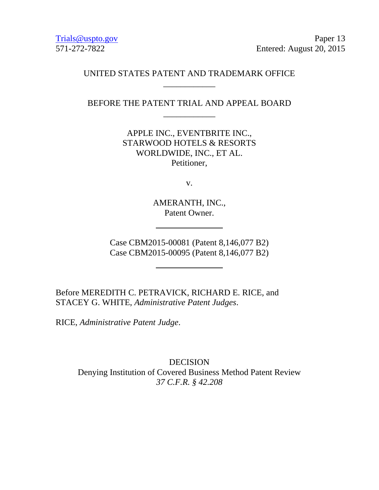Trials@uspto.gov Paper 13 571-272-7822 Entered: August 20, 2015

## UNITED STATES PATENT AND TRADEMARK OFFICE \_\_\_\_\_\_\_\_\_\_\_\_

BEFORE THE PATENT TRIAL AND APPEAL BOARD \_\_\_\_\_\_\_\_\_\_\_\_

> APPLE INC., EVENTBRITE INC., STARWOOD HOTELS & RESORTS WORLDWIDE, INC., ET AL. Petitioner,

> > v.

AMERANTH, INC., Patent Owner.

Case CBM2015-00081 (Patent 8,146,077 B2) Case CBM2015-00095 (Patent 8,146,077 B2)

Before MEREDITH C. PETRAVICK, RICHARD E. RICE, and STACEY G. WHITE, *Administrative Patent Judges*.

RICE, *Administrative Patent Judge*.

DECISION Denying Institution of Covered Business Method Patent Review *37 C.F.R. § 42.208*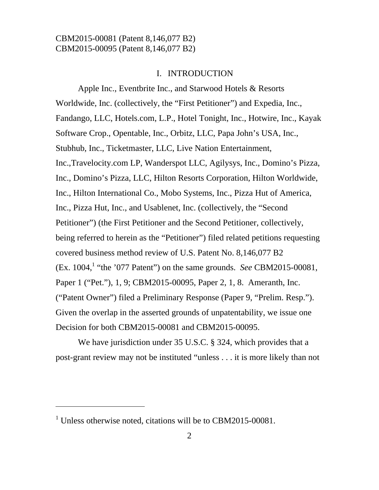#### I. INTRODUCTION

Apple Inc., Eventbrite Inc., and Starwood Hotels & Resorts Worldwide, Inc. (collectively, the "First Petitioner") and Expedia, Inc., Fandango, LLC, Hotels.com, L.P., Hotel Tonight, Inc., Hotwire, Inc., Kayak Software Crop., Opentable, Inc., Orbitz, LLC, Papa John's USA, Inc., Stubhub, Inc., Ticketmaster, LLC, Live Nation Entertainment, Inc.,Travelocity.com LP, Wanderspot LLC, Agilysys, Inc., Domino's Pizza, Inc., Domino's Pizza, LLC, Hilton Resorts Corporation, Hilton Worldwide, Inc., Hilton International Co., Mobo Systems, Inc., Pizza Hut of America, Inc., Pizza Hut, Inc., and Usablenet, Inc. (collectively, the "Second Petitioner") (the First Petitioner and the Second Petitioner, collectively, being referred to herein as the "Petitioner") filed related petitions requesting covered business method review of U.S. Patent No. 8,146,077 B2 (Ex. 1004,<sup>1</sup> "the '077 Patent") on the same grounds. *See* CBM2015-00081, Paper 1 ("Pet."), 1, 9; CBM2015-00095, Paper 2, 1, 8. Ameranth, Inc. ("Patent Owner") filed a Preliminary Response (Paper 9, "Prelim. Resp."). Given the overlap in the asserted grounds of unpatentability, we issue one Decision for both CBM2015-00081 and CBM2015-00095.

We have jurisdiction under 35 U.S.C. § 324, which provides that a post-grant review may not be instituted "unless . . . it is more likely than not

 $\overline{a}$ 

<sup>&</sup>lt;sup>1</sup> Unless otherwise noted, citations will be to CBM2015-00081.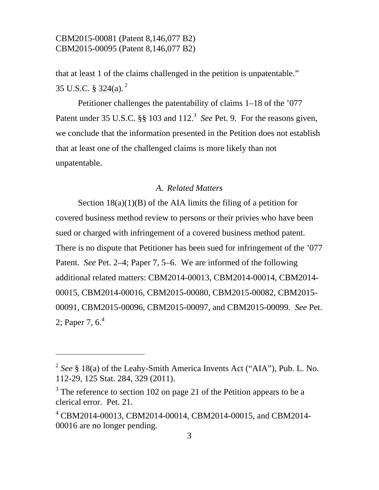l

that at least 1 of the claims challenged in the petition is unpatentable." 35 U.S.C. § 324(a).  $^{2}$ 

Petitioner challenges the patentability of claims 1–18 of the '077 Patent under 35 U.S.C.  $\S$ § 103 and 112.<sup>3</sup> See Pet. 9. For the reasons given, we conclude that the information presented in the Petition does not establish that at least one of the challenged claims is more likely than not unpatentable.

### *A. Related Matters*

Section  $18(a)(1)(B)$  of the AIA limits the filing of a petition for covered business method review to persons or their privies who have been sued or charged with infringement of a covered business method patent. There is no dispute that Petitioner has been sued for infringement of the '077 Patent. *See* Pet. 2–4; Paper 7, 5–6. We are informed of the following additional related matters: CBM2014-00013, CBM2014-00014, CBM2014- 00015, CBM2014-00016, CBM2015-00080, CBM2015-00082, CBM2015- 00091, CBM2015-00096, CBM2015-00097, and CBM2015-00099. *See* Pet. 2; Paper 7,  $6<sup>4</sup>$ 

<sup>2</sup> *See* § 18(a) of the Leahy-Smith America Invents Act ("AIA"), Pub. L. No. 112-29, 125 Stat. 284, 329 (2011).

 $3$  The reference to section 102 on page 21 of the Petition appears to be a clerical error. Pet. 21.

<sup>4</sup> CBM2014-00013, CBM2014-00014, CBM2014-00015, and CBM2014- 00016 are no longer pending.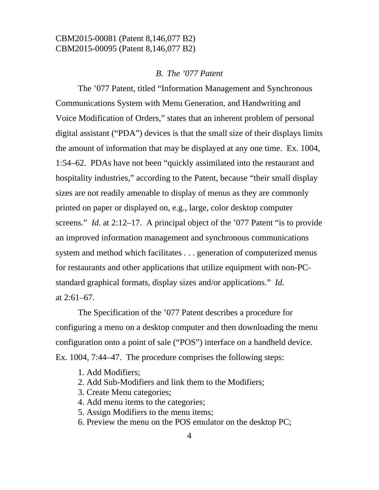#### *B. The '077 Patent*

The '077 Patent, titled "Information Management and Synchronous Communications System with Menu Generation, and Handwriting and Voice Modification of Orders," states that an inherent problem of personal digital assistant ("PDA") devices is that the small size of their displays limits the amount of information that may be displayed at any one time. Ex. 1004, 1:54–62. PDAs have not been "quickly assimilated into the restaurant and hospitality industries," according to the Patent, because "their small display sizes are not readily amenable to display of menus as they are commonly printed on paper or displayed on, e.g., large, color desktop computer screens." *Id.* at 2:12–17. A principal object of the '077 Patent "is to provide an improved information management and synchronous communications system and method which facilitates . . . generation of computerized menus for restaurants and other applications that utilize equipment with non-PCstandard graphical formats, display sizes and/or applications." *Id.* at  $2:61-67$ .

 The Specification of the '077 Patent describes a procedure for configuring a menu on a desktop computer and then downloading the menu configuration onto a point of sale ("POS") interface on a handheld device. Ex. 1004, 7:44–47. The procedure comprises the following steps:

- 1. Add Modifiers;
- 2. Add Sub-Modifiers and link them to the Modifiers;
- 3. Create Menu categories;
- 4. Add menu items to the categories;
- 5. Assign Modifiers to the menu items;
- 6. Preview the menu on the POS emulator on the desktop PC;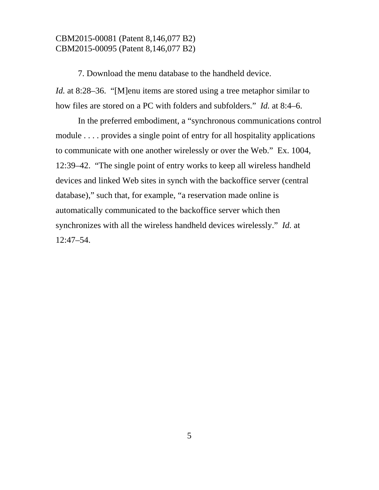7. Download the menu database to the handheld device. *Id.* at 8:28–36. "[M]enu items are stored using a tree metaphor similar to how files are stored on a PC with folders and subfolders." *Id.* at 8:4–6.

In the preferred embodiment, a "synchronous communications control module . . . . provides a single point of entry for all hospitality applications to communicate with one another wirelessly or over the Web." Ex. 1004, 12:39–42. "The single point of entry works to keep all wireless handheld devices and linked Web sites in synch with the backoffice server (central database)," such that, for example, "a reservation made online is automatically communicated to the backoffice server which then synchronizes with all the wireless handheld devices wirelessly." *Id.* at 12:47–54.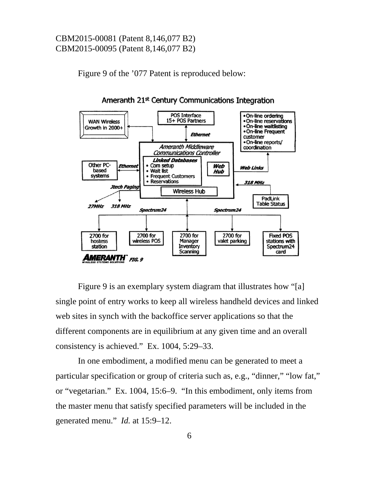Figure 9 of the '077 Patent is reproduced below:



Ameranth 21<sup>st</sup> Century Communications Integration

Figure 9 is an exemplary system diagram that illustrates how "[a] single point of entry works to keep all wireless handheld devices and linked web sites in synch with the backoffice server applications so that the different components are in equilibrium at any given time and an overall consistency is achieved." Ex. 1004, 5:29–33.

In one embodiment, a modified menu can be generated to meet a particular specification or group of criteria such as, e.g., "dinner," "low fat," or "vegetarian." Ex. 1004, 15:6–9. "In this embodiment, only items from the master menu that satisfy specified parameters will be included in the generated menu." *Id.* at 15:9–12.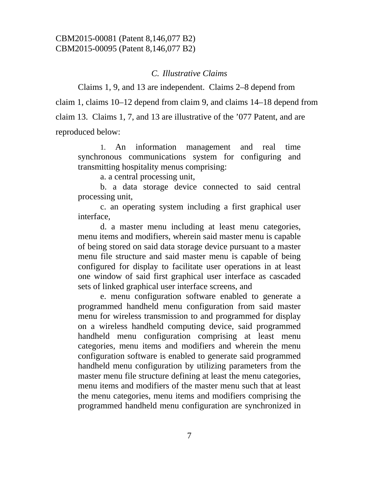#### *C. Illustrative Claims*

Claims 1, 9, and 13 are independent. Claims 2–8 depend from claim 1, claims 10–12 depend from claim 9, and claims 14–18 depend from claim 13. Claims 1, 7, and 13 are illustrative of the '077 Patent, and are reproduced below:

 1. An information management and real time synchronous communications system for configuring and transmitting hospitality menus comprising:

a. a central processing unit,

 b. a data storage device connected to said central processing unit,

 c. an operating system including a first graphical user interface,

 d. a master menu including at least menu categories, menu items and modifiers, wherein said master menu is capable of being stored on said data storage device pursuant to a master menu file structure and said master menu is capable of being configured for display to facilitate user operations in at least one window of said first graphical user interface as cascaded sets of linked graphical user interface screens, and

 e. menu configuration software enabled to generate a programmed handheld menu configuration from said master menu for wireless transmission to and programmed for display on a wireless handheld computing device, said programmed handheld menu configuration comprising at least menu categories, menu items and modifiers and wherein the menu configuration software is enabled to generate said programmed handheld menu configuration by utilizing parameters from the master menu file structure defining at least the menu categories, menu items and modifiers of the master menu such that at least the menu categories, menu items and modifiers comprising the programmed handheld menu configuration are synchronized in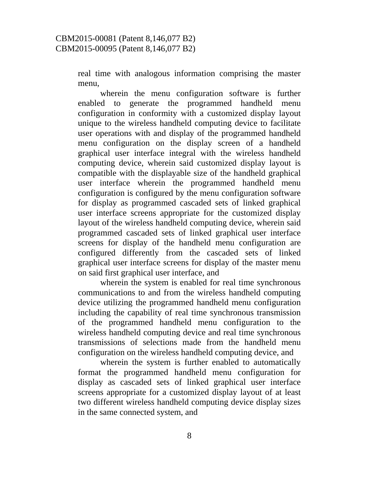real time with analogous information comprising the master menu,

 wherein the menu configuration software is further enabled to generate the programmed handheld menu configuration in conformity with a customized display layout unique to the wireless handheld computing device to facilitate user operations with and display of the programmed handheld menu configuration on the display screen of a handheld graphical user interface integral with the wireless handheld computing device, wherein said customized display layout is compatible with the displayable size of the handheld graphical user interface wherein the programmed handheld menu configuration is configured by the menu configuration software for display as programmed cascaded sets of linked graphical user interface screens appropriate for the customized display layout of the wireless handheld computing device, wherein said programmed cascaded sets of linked graphical user interface screens for display of the handheld menu configuration are configured differently from the cascaded sets of linked graphical user interface screens for display of the master menu on said first graphical user interface, and

 wherein the system is enabled for real time synchronous communications to and from the wireless handheld computing device utilizing the programmed handheld menu configuration including the capability of real time synchronous transmission of the programmed handheld menu configuration to the wireless handheld computing device and real time synchronous transmissions of selections made from the handheld menu configuration on the wireless handheld computing device, and

 wherein the system is further enabled to automatically format the programmed handheld menu configuration for display as cascaded sets of linked graphical user interface screens appropriate for a customized display layout of at least two different wireless handheld computing device display sizes in the same connected system, and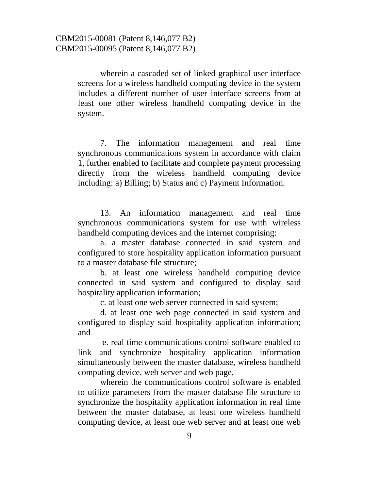wherein a cascaded set of linked graphical user interface screens for a wireless handheld computing device in the system includes a different number of user interface screens from at least one other wireless handheld computing device in the system.

 7. The information management and real time synchronous communications system in accordance with claim 1, further enabled to facilitate and complete payment processing directly from the wireless handheld computing device including: a) Billing; b) Status and c) Payment Information.

 13. An information management and real time synchronous communications system for use with wireless handheld computing devices and the internet comprising:

 a. a master database connected in said system and configured to store hospitality application information pursuant to a master database file structure;

 b. at least one wireless handheld computing device connected in said system and configured to display said hospitality application information;

c. at least one web server connected in said system;

 d. at least one web page connected in said system and configured to display said hospitality application information; and

 e. real time communications control software enabled to link and synchronize hospitality application information simultaneously between the master database, wireless handheld computing device, web server and web page,

 wherein the communications control software is enabled to utilize parameters from the master database file structure to synchronize the hospitality application information in real time between the master database, at least one wireless handheld computing device, at least one web server and at least one web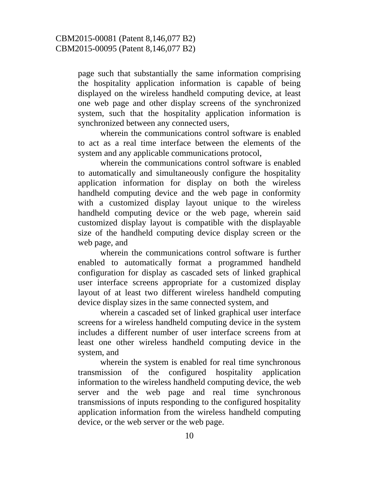page such that substantially the same information comprising the hospitality application information is capable of being displayed on the wireless handheld computing device, at least one web page and other display screens of the synchronized system, such that the hospitality application information is synchronized between any connected users,

 wherein the communications control software is enabled to act as a real time interface between the elements of the system and any applicable communications protocol,

 wherein the communications control software is enabled to automatically and simultaneously configure the hospitality application information for display on both the wireless handheld computing device and the web page in conformity with a customized display layout unique to the wireless handheld computing device or the web page, wherein said customized display layout is compatible with the displayable size of the handheld computing device display screen or the web page, and

 wherein the communications control software is further enabled to automatically format a programmed handheld configuration for display as cascaded sets of linked graphical user interface screens appropriate for a customized display layout of at least two different wireless handheld computing device display sizes in the same connected system, and

 wherein a cascaded set of linked graphical user interface screens for a wireless handheld computing device in the system includes a different number of user interface screens from at least one other wireless handheld computing device in the system, and

 wherein the system is enabled for real time synchronous transmission of the configured hospitality application information to the wireless handheld computing device, the web server and the web page and real time synchronous transmissions of inputs responding to the configured hospitality application information from the wireless handheld computing device, or the web server or the web page.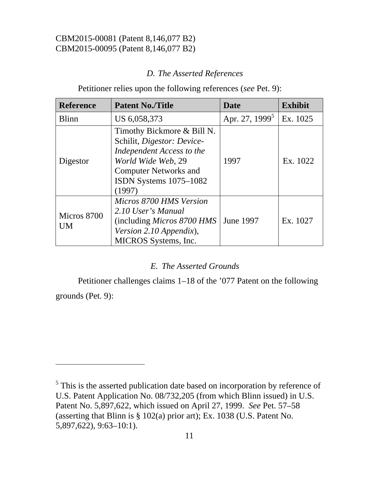$\overline{a}$ 

# *D. The Asserted References*

Petitioner relies upon the following references (*see* Pet. 9):

| <b>Reference</b>         | <b>Patent No./Title</b>                                                                                                                                                         | <b>Date</b>                | <b>Exhibit</b> |
|--------------------------|---------------------------------------------------------------------------------------------------------------------------------------------------------------------------------|----------------------------|----------------|
| <b>Blinn</b>             | US 6,058,373                                                                                                                                                                    | Apr. 27, 1999 <sup>5</sup> | Ex. 1025       |
| Digestor                 | Timothy Bickmore & Bill N.<br>Schilit, Digestor: Device-<br>Independent Access to the<br>World Wide Web, 29<br><b>Computer Networks and</b><br>ISDN Systems 1075-1082<br>(1997) | 1997                       | Ex. 1022       |
| Micros 8700<br><b>UM</b> | Micros 8700 HMS Version<br>2.10 User's Manual<br>(including <i>Micros 8700 HMS</i><br>Version 2.10 Appendix),<br>MICROS Systems, Inc.                                           | June 1997                  | Ex. 1027       |

### *E. The Asserted Grounds*

Petitioner challenges claims 1–18 of the '077 Patent on the following grounds (Pet. 9):

<sup>&</sup>lt;sup>5</sup> This is the asserted publication date based on incorporation by reference of U.S. Patent Application No. 08/732,205 (from which Blinn issued) in U.S. Patent No. 5,897,622, which issued on April 27, 1999. *See* Pet. 57–58 (asserting that Blinn is § 102(a) prior art); Ex. 1038 (U.S. Patent No. 5,897,622), 9:63–10:1).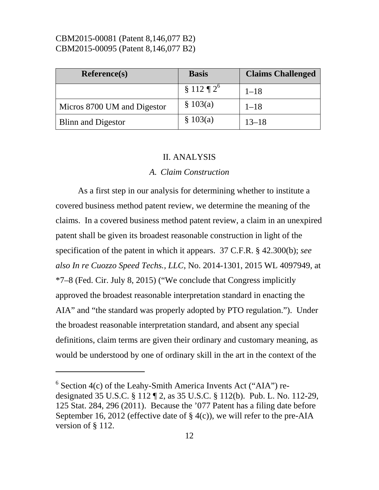-

| <b>Reference(s)</b>         | <b>Basis</b>             | <b>Claims Challenged</b> |
|-----------------------------|--------------------------|--------------------------|
|                             | $$112 \frac{1}{2}^\circ$ | $1 - 18$                 |
| Micros 8700 UM and Digestor | \$103(a)                 | $1 - 18$                 |
| <b>Blinn and Digestor</b>   | \$103(a)                 | $13 - 18$                |

#### II. ANALYSIS

#### *A. Claim Construction*

 As a first step in our analysis for determining whether to institute a covered business method patent review, we determine the meaning of the claims. In a covered business method patent review, a claim in an unexpired patent shall be given its broadest reasonable construction in light of the specification of the patent in which it appears. 37 C.F.R. § 42.300(b); *see also In re Cuozzo Speed Techs., LLC*, No. 2014-1301, 2015 WL 4097949, at \*7–8 (Fed. Cir. July 8, 2015) ("We conclude that Congress implicitly approved the broadest reasonable interpretation standard in enacting the AIA" and "the standard was properly adopted by PTO regulation."). Under the broadest reasonable interpretation standard, and absent any special definitions, claim terms are given their ordinary and customary meaning, as would be understood by one of ordinary skill in the art in the context of the

 $6$  Section 4(c) of the Leahy-Smith America Invents Act ("AIA") redesignated 35 U.S.C. § 112 ¶ 2, as 35 U.S.C. § 112(b). Pub. L. No. 112-29, 125 Stat. 284, 296 (2011). Because the '077 Patent has a filing date before September 16, 2012 (effective date of  $\S$  4(c)), we will refer to the pre-AIA version of § 112.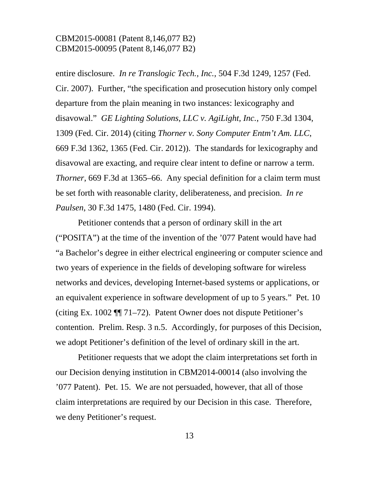entire disclosure. *In re Translogic Tech., Inc.*, 504 F.3d 1249, 1257 (Fed. Cir. 2007). Further, "the specification and prosecution history only compel departure from the plain meaning in two instances: lexicography and disavowal." *GE Lighting Solutions, LLC v. AgiLight, Inc.*, 750 F.3d 1304, 1309 (Fed. Cir. 2014) (citing *Thorner v. Sony Computer Entm't Am. LLC*, 669 F.3d 1362, 1365 (Fed. Cir. 2012)). The standards for lexicography and disavowal are exacting, and require clear intent to define or narrow a term. *Thorner*, 669 F.3d at 1365–66. Any special definition for a claim term must be set forth with reasonable clarity, deliberateness, and precision. *In re Paulsen*, 30 F.3d 1475, 1480 (Fed. Cir. 1994).

Petitioner contends that a person of ordinary skill in the art ("POSITA") at the time of the invention of the '077 Patent would have had "a Bachelor's degree in either electrical engineering or computer science and two years of experience in the fields of developing software for wireless networks and devices, developing Internet-based systems or applications, or an equivalent experience in software development of up to 5 years." Pet. 10 (citing Ex. 1002 ¶¶ 71–72). Patent Owner does not dispute Petitioner's contention. Prelim. Resp. 3 n.5. Accordingly, for purposes of this Decision, we adopt Petitioner's definition of the level of ordinary skill in the art.

 Petitioner requests that we adopt the claim interpretations set forth in our Decision denying institution in CBM2014-00014 (also involving the '077 Patent). Pet. 15. We are not persuaded, however, that all of those claim interpretations are required by our Decision in this case. Therefore, we deny Petitioner's request.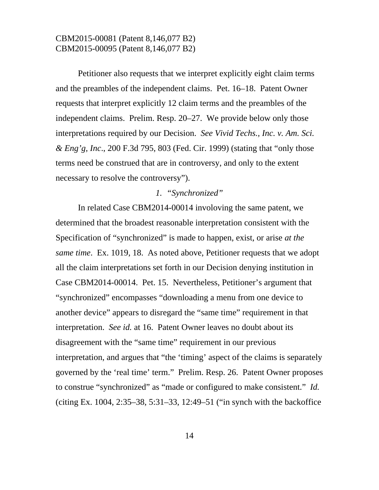Petitioner also requests that we interpret explicitly eight claim terms and the preambles of the independent claims. Pet. 16–18. Patent Owner requests that interpret explicitly 12 claim terms and the preambles of the independent claims. Prelim. Resp. 20–27. We provide below only those interpretations required by our Decision. *See Vivid Techs., Inc. v. Am. Sci. & Eng'g, Inc*., 200 F.3d 795, 803 (Fed. Cir. 1999) (stating that "only those terms need be construed that are in controversy, and only to the extent necessary to resolve the controversy").

#### *1. "Synchronized"*

 In related Case CBM2014-00014 involoving the same patent, we determined that the broadest reasonable interpretation consistent with the Specification of "synchronized" is made to happen, exist, or arise *at the same time*. Ex. 1019, 18. As noted above, Petitioner requests that we adopt all the claim interpretations set forth in our Decision denying institution in Case CBM2014-00014. Pet. 15. Nevertheless, Petitioner's argument that "synchronized" encompasses "downloading a menu from one device to another device" appears to disregard the "same time" requirement in that interpretation. *See id.* at 16. Patent Owner leaves no doubt about its disagreement with the "same time" requirement in our previous interpretation, and argues that "the 'timing' aspect of the claims is separately governed by the 'real time' term." Prelim. Resp. 26. Patent Owner proposes to construe "synchronized" as "made or configured to make consistent." *Id.*  (citing Ex. 1004, 2:35–38, 5:31–33, 12:49–51 ("in synch with the backoffice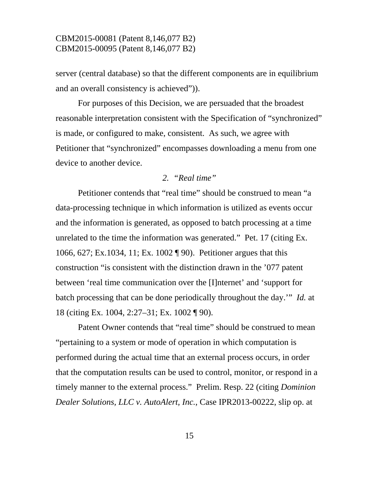server (central database) so that the different components are in equilibrium and an overall consistency is achieved")).

 For purposes of this Decision, we are persuaded that the broadest reasonable interpretation consistent with the Specification of "synchronized" is made, or configured to make, consistent. As such, we agree with Petitioner that "synchronized" encompasses downloading a menu from one device to another device.

## *2. "Real time"*

 Petitioner contends that "real time" should be construed to mean "a data-processing technique in which information is utilized as events occur and the information is generated, as opposed to batch processing at a time unrelated to the time the information was generated." Pet. 17 (citing Ex. 1066, 627; Ex.1034, 11; Ex. 1002 ¶ 90). Petitioner argues that this construction "is consistent with the distinction drawn in the '077 patent between 'real time communication over the [I]nternet' and 'support for batch processing that can be done periodically throughout the day.'" *Id.* at 18 (citing Ex. 1004, 2:27–31; Ex. 1002 ¶ 90).

Patent Owner contends that "real time" should be construed to mean "pertaining to a system or mode of operation in which computation is performed during the actual time that an external process occurs, in order that the computation results can be used to control, monitor, or respond in a timely manner to the external process." Prelim. Resp. 22 (citing *Dominion Dealer Solutions, LLC v. AutoAlert, Inc.*, Case IPR2013-00222, slip op. at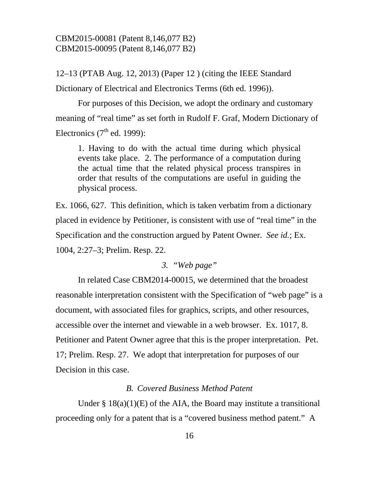12–13 (PTAB Aug. 12, 2013) (Paper 12 ) (citing the IEEE Standard Dictionary of Electrical and Electronics Terms (6th ed. 1996)).

 For purposes of this Decision, we adopt the ordinary and customary meaning of "real time" as set forth in Rudolf F. Graf, Modern Dictionary of Electronics  $(7<sup>th</sup>$  ed. 1999):

1. Having to do with the actual time during which physical events take place. 2. The performance of a computation during the actual time that the related physical process transpires in order that results of the computations are useful in guiding the physical process.

Ex. 1066, 627. This definition, which is taken verbatim from a dictionary placed in evidence by Petitioner, is consistent with use of "real time" in the Specification and the construction argued by Patent Owner. *See id.*; Ex. 1004, 2:27–3; Prelim. Resp. 22.

### *3. "Web page"*

In related Case CBM2014-00015, we determined that the broadest reasonable interpretation consistent with the Specification of "web page" is a document, with associated files for graphics, scripts, and other resources, accessible over the internet and viewable in a web browser. Ex. 1017, 8. Petitioner and Patent Owner agree that this is the proper interpretation. Pet. 17; Prelim. Resp. 27. We adopt that interpretation for purposes of our Decision in this case.

### *B. Covered Business Method Patent*

Under  $\S 18(a)(1)(E)$  of the AIA, the Board may institute a transitional proceeding only for a patent that is a "covered business method patent." A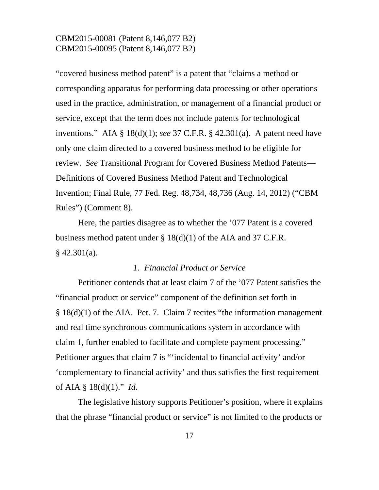"covered business method patent" is a patent that "claims a method or corresponding apparatus for performing data processing or other operations used in the practice, administration, or management of a financial product or service, except that the term does not include patents for technological inventions." AIA § 18(d)(1); *see* 37 C.F.R. § 42.301(a). A patent need have only one claim directed to a covered business method to be eligible for review. *See* Transitional Program for Covered Business Method Patents— Definitions of Covered Business Method Patent and Technological Invention; Final Rule, 77 Fed. Reg. 48,734, 48,736 (Aug. 14, 2012) ("CBM Rules") (Comment 8).

Here, the parties disagree as to whether the '077 Patent is a covered business method patent under  $\S 18(d)(1)$  of the AIA and 37 C.F.R.  $§$  42.301(a).

### *1. Financial Product or Service*

 Petitioner contends that at least claim 7 of the '077 Patent satisfies the "financial product or service" component of the definition set forth in § 18(d)(1) of the AIA. Pet. 7. Claim 7 recites "the information management and real time synchronous communications system in accordance with claim 1, further enabled to facilitate and complete payment processing." Petitioner argues that claim 7 is "'incidental to financial activity' and/or 'complementary to financial activity' and thus satisfies the first requirement of AIA § 18(d)(1)." *Id.* 

The legislative history supports Petitioner's position, where it explains that the phrase "financial product or service" is not limited to the products or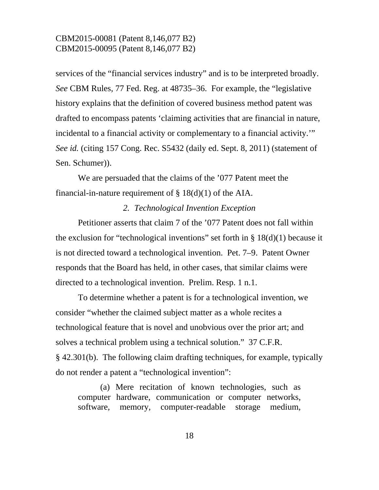services of the "financial services industry" and is to be interpreted broadly. *See* CBM Rules, 77 Fed. Reg. at 48735–36. For example, the "legislative history explains that the definition of covered business method patent was drafted to encompass patents 'claiming activities that are financial in nature, incidental to a financial activity or complementary to a financial activity.'" *See id.* (citing 157 Cong. Rec. S5432 (daily ed. Sept. 8, 2011) (statement of Sen. Schumer)).

 We are persuaded that the claims of the '077 Patent meet the financial-in-nature requirement of  $\S 18(d)(1)$  of the AIA.

#### *2. Technological Invention Exception*

Petitioner asserts that claim 7 of the '077 Patent does not fall within the exclusion for "technological inventions" set forth in  $\S 18(d)(1)$  because it is not directed toward a technological invention. Pet. 7–9. Patent Owner responds that the Board has held, in other cases, that similar claims were directed to a technological invention. Prelim. Resp. 1 n.1.

To determine whether a patent is for a technological invention, we consider "whether the claimed subject matter as a whole recites a technological feature that is novel and unobvious over the prior art; and solves a technical problem using a technical solution." 37 C.F.R. § 42.301(b). The following claim drafting techniques, for example, typically do not render a patent a "technological invention":

(a) Mere recitation of known technologies, such as computer hardware, communication or computer networks, software, memory, computer-readable storage medium,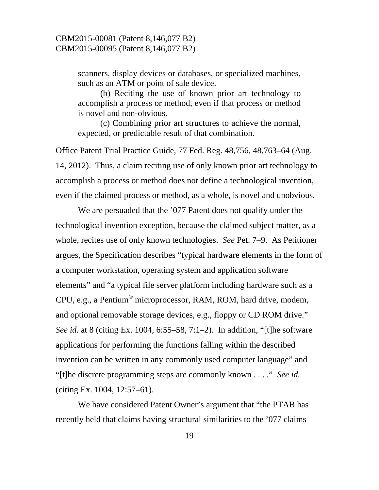scanners, display devices or databases, or specialized machines, such as an ATM or point of sale device.

(b) Reciting the use of known prior art technology to accomplish a process or method, even if that process or method is novel and non-obvious.

(c) Combining prior art structures to achieve the normal, expected, or predictable result of that combination.

Office Patent Trial Practice Guide, 77 Fed. Reg. 48,756, 48,763–64 (Aug. 14, 2012). Thus, a claim reciting use of only known prior art technology to accomplish a process or method does not define a technological invention, even if the claimed process or method, as a whole, is novel and unobvious.

We are persuaded that the '077 Patent does not qualify under the technological invention exception, because the claimed subject matter, as a whole, recites use of only known technologies. *See* Pet. 7–9. As Petitioner argues, the Specification describes "typical hardware elements in the form of a computer workstation, operating system and application software elements" and "a typical file server platform including hardware such as a CPU, e.g., a Pentium® microprocessor, RAM, ROM, hard drive, modem, and optional removable storage devices, e.g., floppy or CD ROM drive." *See id.* at 8 (citing Ex. 1004, 6:55–58, 7:1–2). In addition, "[t]he software applications for performing the functions falling within the described invention can be written in any commonly used computer language" and "[t]he discrete programming steps are commonly known . . . ." *See id.* (citing Ex. 1004, 12:57–61).

We have considered Patent Owner's argument that "the PTAB has recently held that claims having structural similarities to the '077 claims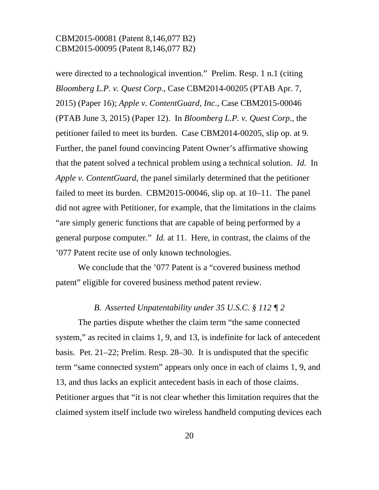were directed to a technological invention." Prelim. Resp. 1 n.1 (citing *Bloomberg L.P. v. Quest Corp*., Case CBM2014-00205 (PTAB Apr. 7, 2015) (Paper 16); *Apple v. ContentGuard, Inc*., Case CBM2015-00046 (PTAB June 3, 2015) (Paper 12). In *Bloomberg L.P. v. Quest Corp*., the petitioner failed to meet its burden. Case CBM2014-00205, slip op. at 9. Further, the panel found convincing Patent Owner's affirmative showing that the patent solved a technical problem using a technical solution. *Id.* In *Apple v. ContentGuard*, the panel similarly determined that the petitioner failed to meet its burden. CBM2015-00046, slip op. at 10–11. The panel did not agree with Petitioner, for example, that the limitations in the claims "are simply generic functions that are capable of being performed by a general purpose computer." *Id.* at 11.Here, in contrast, the claims of the '077 Patent recite use of only known technologies.

We conclude that the '077 Patent is a "covered business method patent" eligible for covered business method patent review.

### *B. Asserted Unpatentability under 35 U.S.C. § 112 ¶ 2*

 The parties dispute whether the claim term "the same connected system," as recited in claims 1, 9, and 13, is indefinite for lack of antecedent basis. Pet. 21–22; Prelim. Resp. 28–30. It is undisputed that the specific term "same connected system" appears only once in each of claims 1, 9, and 13, and thus lacks an explicit antecedent basis in each of those claims. Petitioner argues that "it is not clear whether this limitation requires that the claimed system itself include two wireless handheld computing devices each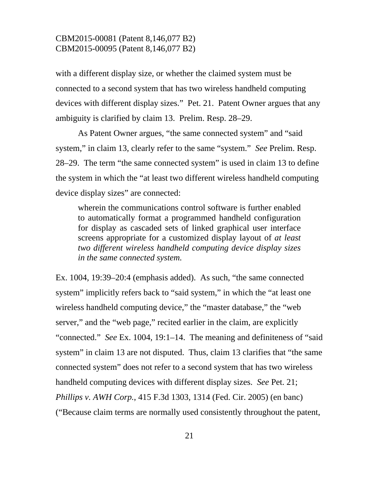with a different display size, or whether the claimed system must be connected to a second system that has two wireless handheld computing devices with different display sizes." Pet. 21. Patent Owner argues that any ambiguity is clarified by claim 13. Prelim. Resp. 28–29.

 As Patent Owner argues, "the same connected system" and "said system," in claim 13, clearly refer to the same "system." *See* Prelim. Resp. 28–29. The term "the same connected system" is used in claim 13 to define the system in which the "at least two different wireless handheld computing device display sizes" are connected:

wherein the communications control software is further enabled to automatically format a programmed handheld configuration for display as cascaded sets of linked graphical user interface screens appropriate for a customized display layout of *at least two different wireless handheld computing device display sizes in the same connected system.*

Ex. 1004, 19:39–20:4 (emphasis added). As such, "the same connected system" implicitly refers back to "said system," in which the "at least one wireless handheld computing device," the "master database," the "web server," and the "web page," recited earlier in the claim, are explicitly "connected." *See* Ex. 1004, 19:1–14. The meaning and definiteness of "said system" in claim 13 are not disputed. Thus, claim 13 clarifies that "the same connected system" does not refer to a second system that has two wireless handheld computing devices with different display sizes. *See* Pet. 21; *Phillips v. AWH Corp.*, 415 F.3d 1303, 1314 (Fed. Cir. 2005) (en banc) ("Because claim terms are normally used consistently throughout the patent,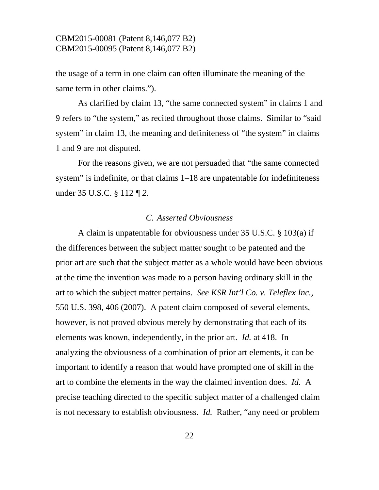the usage of a term in one claim can often illuminate the meaning of the same term in other claims.").

As clarified by claim 13, "the same connected system" in claims 1 and 9 refers to "the system," as recited throughout those claims. Similar to "said system" in claim 13, the meaning and definiteness of "the system" in claims 1 and 9 are not disputed.

 For the reasons given, we are not persuaded that "the same connected system" is indefinite, or that claims  $1-18$  are unpatentable for indefiniteness under 35 U.S.C. § 112 *¶ 2*.

### *C. Asserted Obviousness*

 A claim is unpatentable for obviousness under 35 U.S.C. § 103(a) if the differences between the subject matter sought to be patented and the prior art are such that the subject matter as a whole would have been obvious at the time the invention was made to a person having ordinary skill in the art to which the subject matter pertains. *See KSR Int'l Co. v. Teleflex Inc.*, 550 U.S. 398, 406 (2007). A patent claim composed of several elements, however, is not proved obvious merely by demonstrating that each of its elements was known, independently, in the prior art. *Id.* at 418. In analyzing the obviousness of a combination of prior art elements, it can be important to identify a reason that would have prompted one of skill in the art to combine the elements in the way the claimed invention does. *Id.* A precise teaching directed to the specific subject matter of a challenged claim is not necessary to establish obviousness. *Id.* Rather, "any need or problem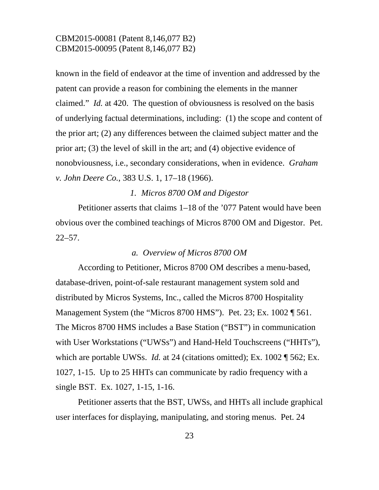known in the field of endeavor at the time of invention and addressed by the patent can provide a reason for combining the elements in the manner claimed." *Id.* at 420. The question of obviousness is resolved on the basis of underlying factual determinations, including: (1) the scope and content of the prior art; (2) any differences between the claimed subject matter and the prior art; (3) the level of skill in the art; and (4) objective evidence of nonobviousness, i.e., secondary considerations, when in evidence. *Graham v. John Deere Co.*, 383 U.S. 1, 17–18 (1966).

#### *1. Micros 8700 OM and Digestor*

Petitioner asserts that claims 1–18 of the '077 Patent would have been obvious over the combined teachings of Micros 8700 OM and Digestor. Pet.  $22 - 57$ .

#### *a. Overview of Micros 8700 OM*

According to Petitioner, Micros 8700 OM describes a menu-based, database-driven, point-of-sale restaurant management system sold and distributed by Micros Systems, Inc., called the Micros 8700 Hospitality Management System (the "Micros 8700 HMS"). Pet. 23; Ex. 1002 ¶ 561. The Micros 8700 HMS includes a Base Station ("BST") in communication with User Workstations ("UWSs") and Hand-Held Touchscreens ("HHTs"), which are portable UWSs. *Id.* at 24 (citations omitted); Ex. 1002 ¶ 562; Ex. 1027, 1-15. Up to 25 HHTs can communicate by radio frequency with a single BST. Ex. 1027, 1-15, 1-16.

Petitioner asserts that the BST, UWSs, and HHTs all include graphical user interfaces for displaying, manipulating, and storing menus. Pet. 24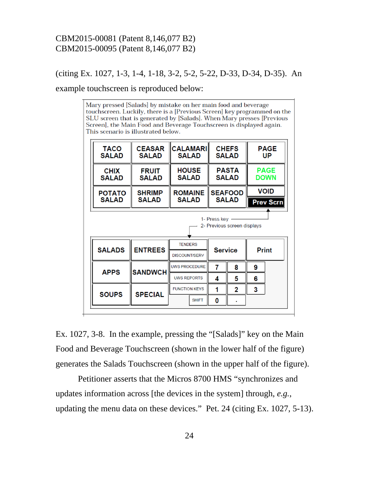### (citing Ex. 1027, 1-3, 1-4, 1-18, 3-2, 5-2, 5-22, D-33, D-34, D-35). An

example touchscreen is reproduced below:

Mary pressed [Salads] by mistake on her main food and beverage touchscreen. Luckily, there is a [Previous Screen] key programmed on the SLU screen that is generated by [Salads]. When Mary presses [Previous Screen], the Main Food and Beverage Touchscreen is displayed again. This scenario is illustrated below.

| <b>TACO</b><br><b>SALAD</b> | <b>CEASAR</b><br><b>SALAD</b> | <b>CALAMARI</b><br><b>SALAD</b> |                                | <b>CHEFS</b><br><b>SALAD</b> |   | <b>PAGE</b><br>UP          |
|-----------------------------|-------------------------------|---------------------------------|--------------------------------|------------------------------|---|----------------------------|
| <b>CHIX</b><br><b>SALAD</b> | <b>FRUIT</b><br><b>SALAD</b>  | <b>HOUSE</b><br><b>SALAD</b>    | <b>PASTA</b><br><b>SALAD</b>   |                              |   | <b>PAGE</b><br><b>DOWN</b> |
| <b>POTATO</b>               | <b>SHRIMP</b>                 | <b>ROMAINE</b>                  | <b>SEAFOOD</b><br><b>SALAD</b> |                              |   | <b>VOID</b>                |
| <b>SALAD</b>                | <b>SALAD</b>                  | <b>SALAD</b>                    |                                |                              |   | <b>Prev Scrn</b>           |
|                             |                               |                                 | 1- Press key                   | 2- Previous screen displays  |   |                            |
|                             |                               | <b>TENDERS</b>                  |                                |                              |   |                            |
| <b>SALADS</b>               | <b>ENTREES</b>                | <b>DISCOUNT/SERV</b>            | <b>Service</b>                 |                              |   | <b>Print</b>               |
|                             |                               | <b>UWS PROCEDURE</b>            | 7                              | 8                            | 9 |                            |
| <b>APPS</b>                 | <b>SANDWCH</b>                | <b>UWS REPORTS</b>              | 4                              | 5                            | 6 |                            |
| <b>SOUPS</b>                | <b>SPECIAL</b>                | <b>FUNCTION KEYS</b>            | 1                              | 2                            | 3 |                            |

Ex. 1027, 3-8. In the example, pressing the "[Salads]" key on the Main Food and Beverage Touchscreen (shown in the lower half of the figure) generates the Salads Touchscreen (shown in the upper half of the figure).

Petitioner asserts that the Micros 8700 HMS "synchronizes and updates information across [the devices in the system] through, *e.g.*, updating the menu data on these devices." Pet. 24 (citing Ex. 1027, 5-13).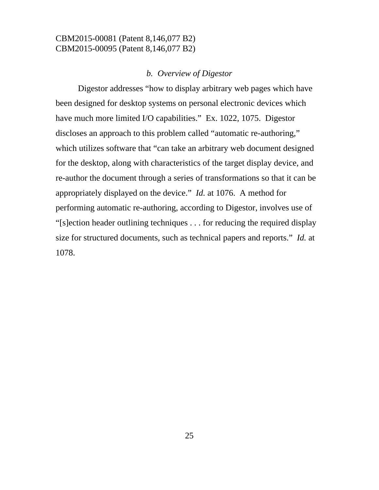### *b. Overview of Digestor*

Digestor addresses "how to display arbitrary web pages which have been designed for desktop systems on personal electronic devices which have much more limited I/O capabilities." Ex. 1022, 1075. Digestor discloses an approach to this problem called "automatic re-authoring," which utilizes software that "can take an arbitrary web document designed for the desktop, along with characteristics of the target display device, and re-author the document through a series of transformations so that it can be appropriately displayed on the device." *Id.* at 1076. A method for performing automatic re-authoring, according to Digestor, involves use of "[s]ection header outlining techniques . . . for reducing the required display size for structured documents, such as technical papers and reports." *Id.* at 1078.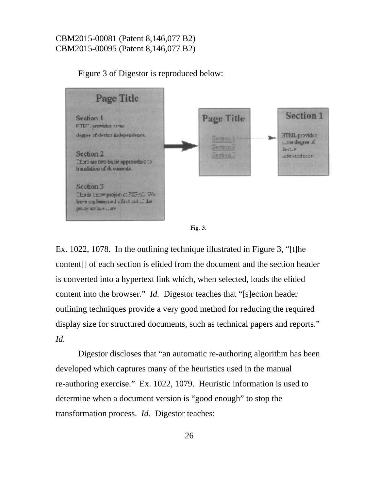





Ex. 1022, 1078. In the outlining technique illustrated in Figure 3, "[t]he content[] of each section is elided from the document and the section header is converted into a hypertext link which, when selected, loads the elided content into the browser." *Id.* Digestor teaches that "[s]ection header outlining techniques provide a very good method for reducing the required display size for structured documents, such as technical papers and reports." *Id.* 

 Digestor discloses that "an automatic re-authoring algorithm has been developed which captures many of the heuristics used in the manual re-authoring exercise." Ex. 1022, 1079. Heuristic information is used to determine when a document version is "good enough" to stop the transformation process. *Id.* Digestor teaches: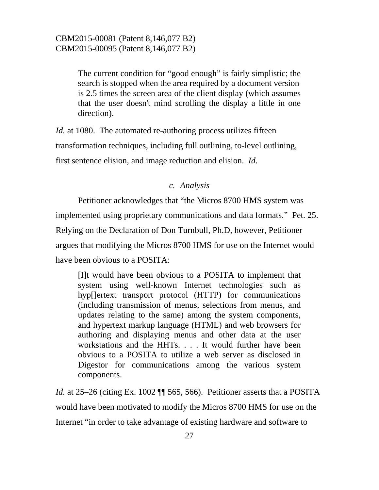The current condition for "good enough" is fairly simplistic; the search is stopped when the area required by a document version is 2.5 times the screen area of the client display (which assumes that the user doesn't mind scrolling the display a little in one direction).

*Id.* at 1080. The automated re-authoring process utilizes fifteen transformation techniques, including full outlining, to-level outlining, first sentence elision, and image reduction and elision. *Id.*

#### *c. Analysis*

Petitioner acknowledges that "the Micros 8700 HMS system was implemented using proprietary communications and data formats." Pet. 25. Relying on the Declaration of Don Turnbull, Ph.D, however, Petitioner argues that modifying the Micros 8700 HMS for use on the Internet would have been obvious to a POSITA:

[I]t would have been obvious to a POSITA to implement that system using well-known Internet technologies such as hyp[]ertext transport protocol (HTTP) for communications (including transmission of menus, selections from menus, and updates relating to the same) among the system components, and hypertext markup language (HTML) and web browsers for authoring and displaying menus and other data at the user workstations and the HHTs. . . . It would further have been obvious to a POSITA to utilize a web server as disclosed in Digestor for communications among the various system components.

*Id.* at 25–26 (citing Ex. 1002  $\P$  565, 566). Petitioner asserts that a POSITA would have been motivated to modify the Micros 8700 HMS for use on the Internet "in order to take advantage of existing hardware and software to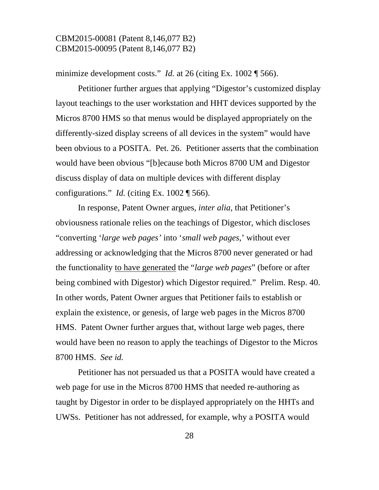minimize development costs." *Id.* at 26 (citing Ex. 1002 ¶ 566).

Petitioner further argues that applying "Digestor's customized display layout teachings to the user workstation and HHT devices supported by the Micros 8700 HMS so that menus would be displayed appropriately on the differently-sized display screens of all devices in the system" would have been obvious to a POSITA. Pet. 26. Petitioner asserts that the combination would have been obvious "[b]ecause both Micros 8700 UM and Digestor discuss display of data on multiple devices with different display configurations." *Id.* (citing Ex. 1002 ¶ 566).

In response, Patent Owner argues, *inter alia*, that Petitioner's obviousness rationale relies on the teachings of Digestor, which discloses "converting '*large web pages'* into '*small web pages*,' without ever addressing or acknowledging that the Micros 8700 never generated or had the functionality to have generated the "*large web pages*" (before or after being combined with Digestor) which Digestor required." Prelim. Resp. 40. In other words, Patent Owner argues that Petitioner fails to establish or explain the existence, or genesis, of large web pages in the Micros 8700 HMS. Patent Owner further argues that, without large web pages, there would have been no reason to apply the teachings of Digestor to the Micros 8700 HMS. *See id.*

Petitioner has not persuaded us that a POSITA would have created a web page for use in the Micros 8700 HMS that needed re-authoring as taught by Digestor in order to be displayed appropriately on the HHTs and UWSs. Petitioner has not addressed, for example, why a POSITA would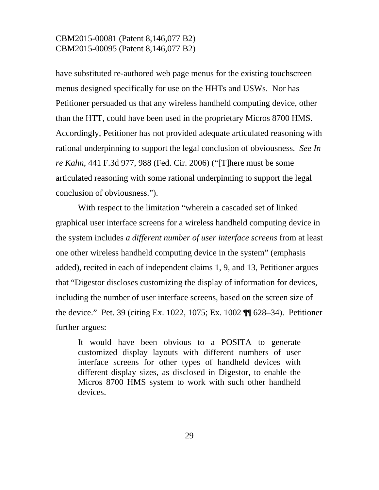have substituted re-authored web page menus for the existing touchscreen menus designed specifically for use on the HHTs and USWs. Nor has Petitioner persuaded us that any wireless handheld computing device, other than the HTT, could have been used in the proprietary Micros 8700 HMS. Accordingly, Petitioner has not provided adequate articulated reasoning with rational underpinning to support the legal conclusion of obviousness. *See In re Kahn*, 441 F.3d 977, 988 (Fed. Cir. 2006) ("[T]here must be some articulated reasoning with some rational underpinning to support the legal conclusion of obviousness.").

With respect to the limitation "wherein a cascaded set of linked graphical user interface screens for a wireless handheld computing device in the system includes *a different number of user interface screens* from at least one other wireless handheld computing device in the system" (emphasis added), recited in each of independent claims 1, 9, and 13, Petitioner argues that "Digestor discloses customizing the display of information for devices, including the number of user interface screens, based on the screen size of the device." Pet. 39 (citing Ex. 1022, 1075; Ex. 1002 ¶¶ 628–34). Petitioner further argues:

It would have been obvious to a POSITA to generate customized display layouts with different numbers of user interface screens for other types of handheld devices with different display sizes, as disclosed in Digestor, to enable the Micros 8700 HMS system to work with such other handheld devices.

29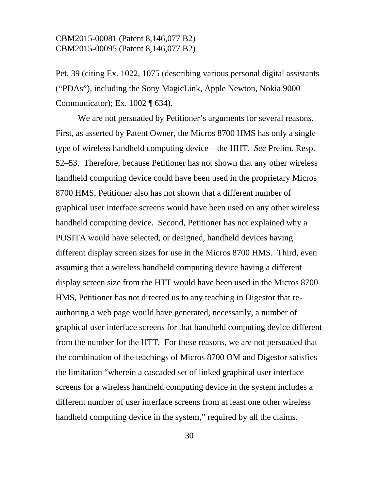Pet. 39 (citing Ex. 1022, 1075 (describing various personal digital assistants ("PDAs"), including the Sony MagicLink, Apple Newton, Nokia 9000 Communicator); Ex. 1002 ¶ 634).

We are not persuaded by Petitioner's arguments for several reasons. First, as asserted by Patent Owner, the Micros 8700 HMS has only a single type of wireless handheld computing device—the HHT. *See* Prelim. Resp. 52–53. Therefore, because Petitioner has not shown that any other wireless handheld computing device could have been used in the proprietary Micros 8700 HMS, Petitioner also has not shown that a different number of graphical user interface screens would have been used on any other wireless handheld computing device. Second, Petitioner has not explained why a POSITA would have selected, or designed, handheld devices having different display screen sizes for use in the Micros 8700 HMS. Third, even assuming that a wireless handheld computing device having a different display screen size from the HTT would have been used in the Micros 8700 HMS, Petitioner has not directed us to any teaching in Digestor that reauthoring a web page would have generated, necessarily, a number of graphical user interface screens for that handheld computing device different from the number for the HTT. For these reasons, we are not persuaded that the combination of the teachings of Micros 8700 OM and Digestor satisfies the limitation "wherein a cascaded set of linked graphical user interface screens for a wireless handheld computing device in the system includes a different number of user interface screens from at least one other wireless handheld computing device in the system," required by all the claims.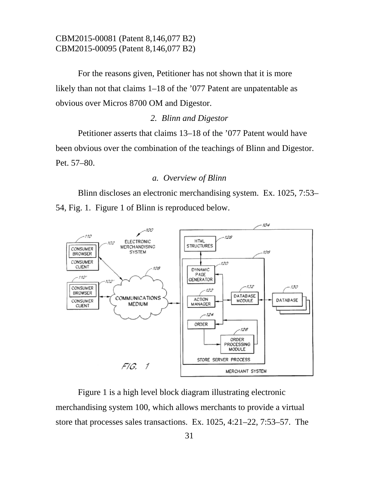For the reasons given, Petitioner has not shown that it is more likely than not that claims 1–18 of the '077 Patent are unpatentable as obvious over Micros 8700 OM and Digestor.

#### *2. Blinn and Digestor*

Petitioner asserts that claims 13–18 of the '077 Patent would have been obvious over the combination of the teachings of Blinn and Digestor. Pet. 57–80.

#### *a. Overview of Blinn*

Blinn discloses an electronic merchandising system. Ex. 1025, 7:53– 54, Fig. 1. Figure 1 of Blinn is reproduced below.



Figure 1 is a high level block diagram illustrating electronic merchandising system 100, which allows merchants to provide a virtual store that processes sales transactions. Ex. 1025, 4:21–22, 7:53–57. The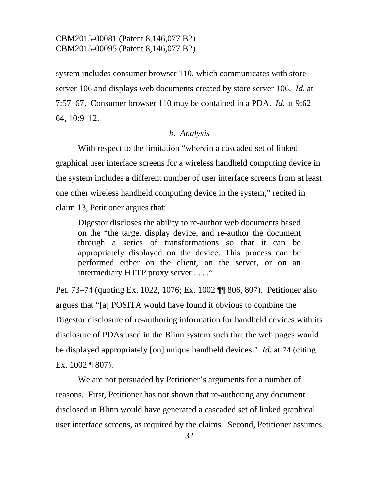system includes consumer browser 110, which communicates with store server 106 and displays web documents created by store server 106. *Id.* at 7:57–67. Consumer browser 110 may be contained in a PDA. *Id.* at 9:62– 64, 10:9–12.

#### *b. Analysis*

With respect to the limitation "wherein a cascaded set of linked graphical user interface screens for a wireless handheld computing device in the system includes a different number of user interface screens from at least one other wireless handheld computing device in the system," recited in claim 13, Petitioner argues that:

Digestor discloses the ability to re-author web documents based on the "the target display device, and re-author the document through a series of transformations so that it can be appropriately displayed on the device. This process can be performed either on the client, on the server, or on an intermediary HTTP proxy server . . . ."

Pet. 73–74 (quoting Ex. 1022, 1076; Ex. 1002 ¶¶ 806, 807). Petitioner also argues that "[a] POSITA would have found it obvious to combine the Digestor disclosure of re-authoring information for handheld devices with its disclosure of PDAs used in the Blinn system such that the web pages would be displayed appropriately [on] unique handheld devices." *Id.* at 74 (citing Ex. 1002 ¶ 807).

 We are not persuaded by Petitioner's arguments for a number of reasons. First, Petitioner has not shown that re-authoring any document disclosed in Blinn would have generated a cascaded set of linked graphical user interface screens, as required by the claims. Second, Petitioner assumes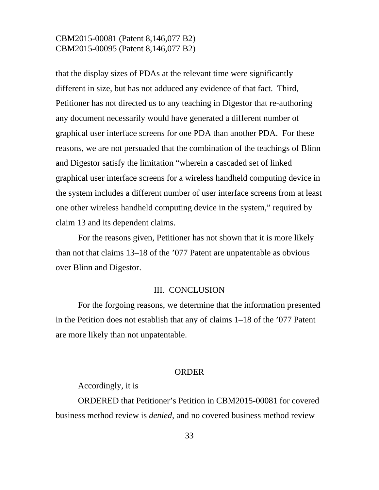that the display sizes of PDAs at the relevant time were significantly different in size, but has not adduced any evidence of that fact. Third, Petitioner has not directed us to any teaching in Digestor that re-authoring any document necessarily would have generated a different number of graphical user interface screens for one PDA than another PDA. For these reasons, we are not persuaded that the combination of the teachings of Blinn and Digestor satisfy the limitation "wherein a cascaded set of linked graphical user interface screens for a wireless handheld computing device in the system includes a different number of user interface screens from at least one other wireless handheld computing device in the system," required by claim 13 and its dependent claims.

 For the reasons given, Petitioner has not shown that it is more likely than not that claims 13–18 of the '077 Patent are unpatentable as obvious over Blinn and Digestor.

### III. CONCLUSION

For the forgoing reasons, we determine that the information presented in the Petition does not establish that any of claims 1–18 of the '077 Patent are more likely than not unpatentable.

#### **ORDER**

Accordingly, it is

ORDERED that Petitioner's Petition in CBM2015-00081 for covered business method review is *denied*, and no covered business method review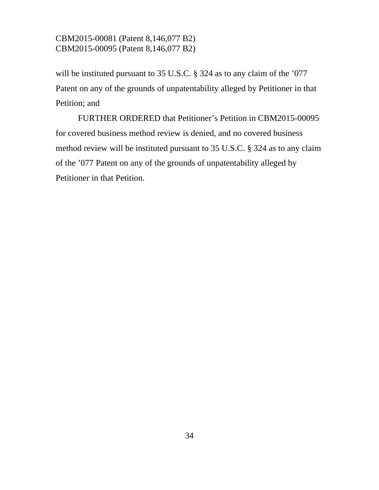will be instituted pursuant to 35 U.S.C. § 324 as to any claim of the '077 Patent on any of the grounds of unpatentability alleged by Petitioner in that Petition; and

FURTHER ORDERED that Petitioner's Petition in CBM2015-00095 for covered business method review is denied, and no covered business method review will be instituted pursuant to 35 U.S.C. § 324 as to any claim of the '077 Patent on any of the grounds of unpatentability alleged by Petitioner in that Petition.